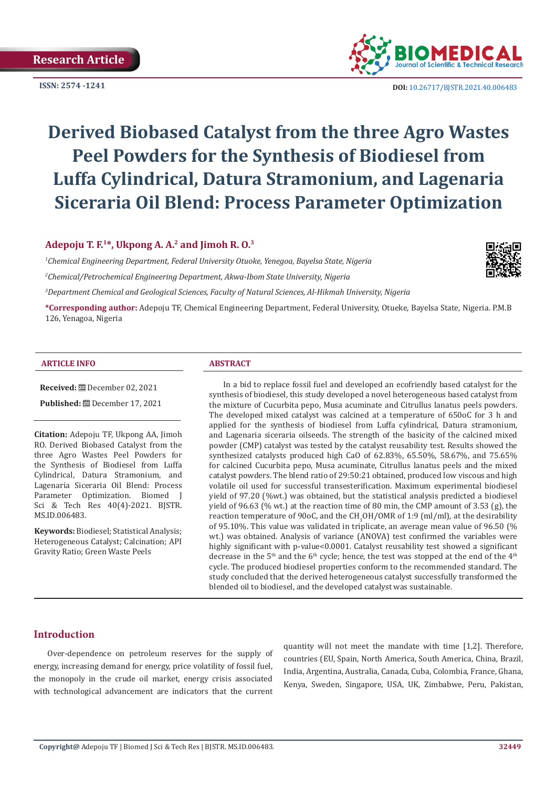

**ISSN:** 2574 -1241 **DOI:** [10.26717/BJSTR.2021.40.006483](https://dx.doi.org/10.26717/BJSTR.2021.40.006483)

# **Derived Biobased Catalyst from the three Agro Wastes Peel Powders for the Synthesis of Biodiesel from Luffa Cylindrical, Datura Stramonium, and Lagenaria Siceraria Oil Blend: Process Parameter Optimization**

#### **Adepoju T. F.1\*, Ukpong A. A.2 and Jimoh R. O.3**

*1 Chemical Engineering Department, Federal University Otuoke, Yenegoa, Bayelsa State, Nigeria 2 Chemical/Petrochemical Engineering Department, Akwa-Ibom State University, Nigeria*

*3 Department Chemical and Geological Sciences, Faculty of Natural Sciences, Al-Hikmah University, Nigeria*

**\*Corresponding author:** Adepoju TF, Chemical Engineering Department, Federal University, Otueke, Bayelsa State, Nigeria. P.M.B 126, Yenagoa, Nigeria

#### **ARTICLE INFO ABSTRACT**

**Received: □** December 02, 2021

**Published:** December 17, 2021

**Citation:** Adepoju TF, Ukpong AA, Jimoh RO. Derived Biobased Catalyst from the three Agro Wastes Peel Powders for the Synthesis of Biodiesel from Luffa Cylindrical, Datura Stramonium, and Lagenaria Siceraria Oil Blend: Process Parameter Optimization. Biomed J Sci & Tech Res 40(4)-2021. BJSTR. MS.ID.006483.

**Keywords:** Biodiesel; Statistical Analysis; Heterogeneous Catalyst; Calcination; API Gravity Ratio; Green Waste Peels

In a bid to replace fossil fuel and developed an ecofriendly based catalyst for the synthesis of biodiesel, this study developed a novel heterogeneous based catalyst from the mixture of Cucurbita pepo, Musa acuminate and Citrullus lanatus peels powders. The developed mixed catalyst was calcined at a temperature of 650oC for 3 h and applied for the synthesis of biodiesel from Luffa cylindrical, Datura stramonium, and Lagenaria siceraria oilseeds. The strength of the basicity of the calcined mixed powder (CMP) catalyst was tested by the catalyst reusability test. Results showed the synthesized catalysts produced high CaO of 62.83%, 65.50%, 58.67%, and 75.65% for calcined Cucurbita pepo, Musa acuminate, Citrullus lanatus peels and the mixed catalyst powders. The blend ratio of 29:50:21 obtained, produced low viscous and high volatile oil used for successful transesterification. Maximum experimental biodiesel yield of 97.20 (%wt.) was obtained, but the statistical analysis predicted a biodiesel yield of 96.63 (% wt.) at the reaction time of 80 min, the CMP amount of 3.53 (g), the reaction temperature of 90oC, and the  $CH_3OH/OMR$  of 1:9 (ml/ml), at the desirability of 95.10%. This value was validated in triplicate, an average mean value of 96.50 (% wt.) was obtained. Analysis of variance (ANOVA) test confirmed the variables were highly significant with p-value<0.0001. Catalyst reusability test showed a significant decrease in the 5<sup>th</sup> and the 6<sup>th</sup> cycle; hence, the test was stopped at the end of the 4<sup>th</sup> cycle. The produced biodiesel properties conform to the recommended standard. The study concluded that the derived heterogeneous catalyst successfully transformed the blended oil to biodiesel, and the developed catalyst was sustainable.

#### **Introduction**

Over-dependence on petroleum reserves for the supply of energy, increasing demand for energy, price volatility of fossil fuel, the monopoly in the crude oil market, energy crisis associated with technological advancement are indicators that the current quantity will not meet the mandate with time [1,2]. Therefore, countries (EU, Spain, North America, South America, China, Brazil, India, Argentina, Australia, Canada, Cuba, Colombia, France, Ghana, Kenya, Sweden, Singapore, USA, UK, Zimbabwe, Peru, Pakistan,

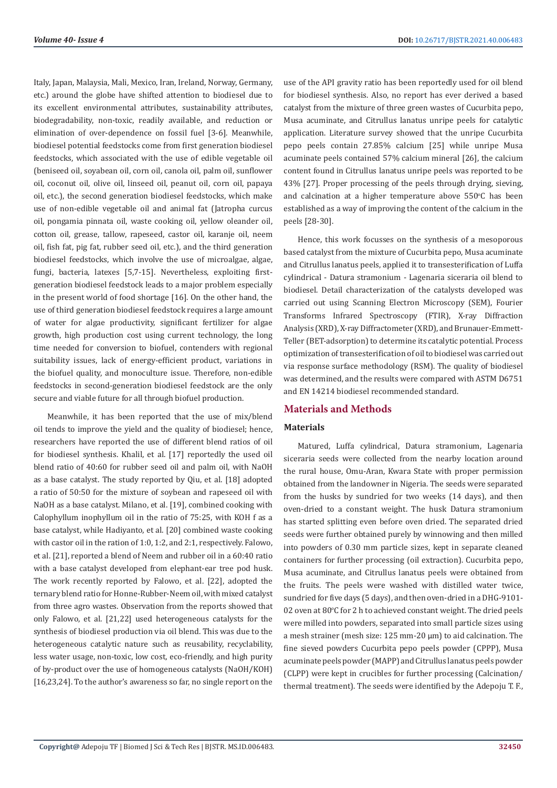Italy, Japan, Malaysia, Mali, Mexico, Iran, Ireland, Norway, Germany, etc.) around the globe have shifted attention to biodiesel due to its excellent environmental attributes, sustainability attributes, biodegradability, non-toxic, readily available, and reduction or elimination of over-dependence on fossil fuel [3-6]. Meanwhile, biodiesel potential feedstocks come from first generation biodiesel feedstocks, which associated with the use of edible vegetable oil (beniseed oil, soyabean oil, corn oil, canola oil, palm oil, sunflower oil, coconut oil, olive oil, linseed oil, peanut oil, corn oil, papaya oil, etc.), the second generation biodiesel feedstocks, which make use of non-edible vegetable oil and animal fat (Jatropha curcus oil, pongamia pinnata oil, waste cooking oil, yellow oleander oil, cotton oil, grease, tallow, rapeseed, castor oil, karanje oil, neem oil, fish fat, pig fat, rubber seed oil, etc.), and the third generation biodiesel feedstocks, which involve the use of microalgae, algae, fungi, bacteria, latexes [5,7-15]. Nevertheless, exploiting firstgeneration biodiesel feedstock leads to a major problem especially in the present world of food shortage [16]. On the other hand, the use of third generation biodiesel feedstock requires a large amount of water for algae productivity, significant fertilizer for algae growth, high production cost using current technology, the long time needed for conversion to biofuel, contenders with regional suitability issues, lack of energy-efficient product, variations in the biofuel quality, and monoculture issue. Therefore, non-edible feedstocks in second-generation biodiesel feedstock are the only secure and viable future for all through biofuel production.

Meanwhile, it has been reported that the use of mix/blend oil tends to improve the yield and the quality of biodiesel; hence, researchers have reported the use of different blend ratios of oil for biodiesel synthesis. Khalil, et al. [17] reportedly the used oil blend ratio of 40:60 for rubber seed oil and palm oil, with NaOH as a base catalyst. The study reported by Qiu, et al. [18] adopted a ratio of 50:50 for the mixture of soybean and rapeseed oil with NaOH as a base catalyst. Milano, et al. [19], combined cooking with Calophyllum inophyllum oil in the ratio of 75:25, with KOH f as a base catalyst, while Hadiyanto, et al. [20] combined waste cooking with castor oil in the ration of 1:0, 1:2, and 2:1, respectively. Falowo, et al. [21], reported a blend of Neem and rubber oil in a 60:40 ratio with a base catalyst developed from elephant-ear tree pod husk. The work recently reported by Falowo, et al. [22], adopted the ternary blend ratio for Honne-Rubber-Neem oil, with mixed catalyst from three agro wastes. Observation from the reports showed that only Falowo, et al. [21,22] used heterogeneous catalysts for the synthesis of biodiesel production via oil blend. This was due to the heterogeneous catalytic nature such as reusability, recyclability, less water usage, non-toxic, low cost, eco-friendly, and high purity of by-product over the use of homogeneous catalysts (NaOH/KOH) [16,23,24]. To the author's awareness so far, no single report on the

use of the API gravity ratio has been reportedly used for oil blend for biodiesel synthesis. Also, no report has ever derived a based catalyst from the mixture of three green wastes of Cucurbita pepo, Musa acuminate, and Citrullus lanatus unripe peels for catalytic application. Literature survey showed that the unripe Cucurbita pepo peels contain 27.85% calcium [25] while unripe Musa acuminate peels contained 57% calcium mineral [26], the calcium content found in Citrullus lanatus unripe peels was reported to be 43% [27]. Proper processing of the peels through drying, sieving, and calcination at a higher temperature above  $550^{\circ}$ C has been established as a way of improving the content of the calcium in the peels [28-30].

Hence, this work focusses on the synthesis of a mesoporous based catalyst from the mixture of Cucurbita pepo, Musa acuminate and Citrullus lanatus peels, applied it to transesterification of Luffa cylindrical - Datura stramonium - Lagenaria siceraria oil blend to biodiesel. Detail characterization of the catalysts developed was carried out using Scanning Electron Microscopy (SEM), Fourier Transforms Infrared Spectroscopy (FTIR), X-ray Diffraction Analysis (XRD), X-ray Diffractometer (XRD), and Brunauer-Emmett-Teller (BET-adsorption) to determine its catalytic potential. Process optimization of transesterification of oil to biodiesel was carried out via response surface methodology (RSM). The quality of biodiesel was determined, and the results were compared with ASTM D6751 and EN 14214 biodiesel recommended standard.

#### **Materials and Methods**

#### **Materials**

Matured, Luffa cylindrical, Datura stramonium, Lagenaria siceraria seeds were collected from the nearby location around the rural house, Omu-Aran, Kwara State with proper permission obtained from the landowner in Nigeria. The seeds were separated from the husks by sundried for two weeks (14 days), and then oven-dried to a constant weight. The husk Datura stramonium has started splitting even before oven dried. The separated dried seeds were further obtained purely by winnowing and then milled into powders of 0.30 mm particle sizes, kept in separate cleaned containers for further processing (oil extraction). Cucurbita pepo, Musa acuminate, and Citrullus lanatus peels were obtained from the fruits. The peels were washed with distilled water twice, sundried for five days (5 days), and then oven-dried in a DHG-9101-  $02$  oven at  $80^{\circ}$ C for 2 h to achieved constant weight. The dried peels were milled into powders, separated into small particle sizes using a mesh strainer (mesh size: 125 mm-20 μm) to aid calcination. The fine sieved powders Cucurbita pepo peels powder (CPPP), Musa acuminate peels powder (MAPP) and Citrullus lanatus peels powder (CLPP) were kept in crucibles for further processing (Calcination/ thermal treatment). The seeds were identified by the Adepoju T. F.,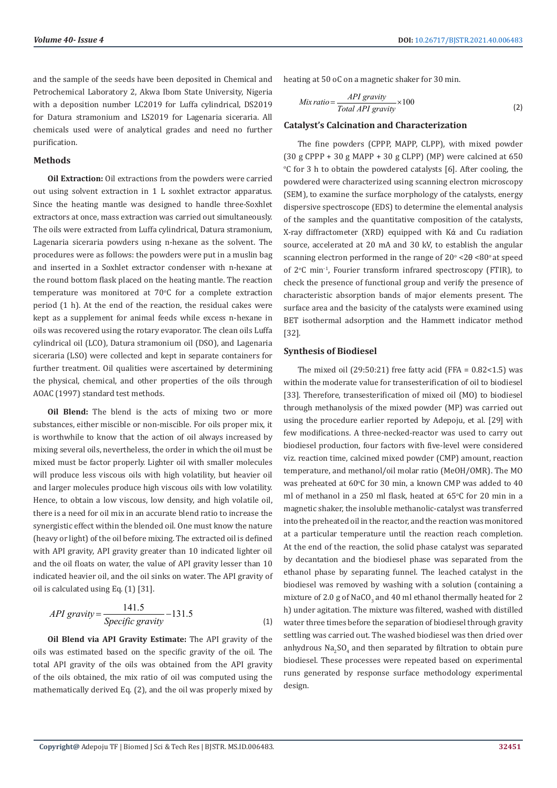and the sample of the seeds have been deposited in Chemical and Petrochemical Laboratory 2, Akwa Ibom State University, Nigeria with a deposition number LC2019 for Luffa cylindrical, DS2019 for Datura stramonium and LS2019 for Lagenaria siceraria. All chemicals used were of analytical grades and need no further purification.

#### **Methods**

**Oil Extraction:** Oil extractions from the powders were carried out using solvent extraction in 1 L soxhlet extractor apparatus. Since the heating mantle was designed to handle three-Soxhlet extractors at once, mass extraction was carried out simultaneously. The oils were extracted from Luffa cylindrical, Datura stramonium, Lagenaria siceraria powders using n-hexane as the solvent. The procedures were as follows: the powders were put in a muslin bag and inserted in a Soxhlet extractor condenser with n-hexane at the round bottom flask placed on the heating mantle. The reaction temperature was monitored at 70°C for a complete extraction period (1 h). At the end of the reaction, the residual cakes were kept as a supplement for animal feeds while excess n-hexane in oils was recovered using the rotary evaporator. The clean oils Luffa cylindrical oil (LCO), Datura stramonium oil (DSO), and Lagenaria siceraria (LSO) were collected and kept in separate containers for further treatment. Oil qualities were ascertained by determining the physical, chemical, and other properties of the oils through AOAC (1997) standard test methods.

**Oil Blend:** The blend is the acts of mixing two or more substances, either miscible or non-miscible. For oils proper mix, it is worthwhile to know that the action of oil always increased by mixing several oils, nevertheless, the order in which the oil must be mixed must be factor properly. Lighter oil with smaller molecules will produce less viscous oils with high volatility, but heavier oil and larger molecules produce high viscous oils with low volatility. Hence, to obtain a low viscous, low density, and high volatile oil, there is a need for oil mix in an accurate blend ratio to increase the synergistic effect within the blended oil. One must know the nature (heavy or light) of the oil before mixing. The extracted oil is defined with API gravity, API gravity greater than 10 indicated lighter oil and the oil floats on water, the value of API gravity lesser than 10 indicated heavier oil, and the oil sinks on water. The API gravity of oil is calculated using Eq. (1) [31].

$$
API\ gravity = \frac{141.5}{Specific\ gravity} - 131.5\tag{1}
$$

**Oil Blend via API Gravity Estimate:** The API gravity of the oils was estimated based on the specific gravity of the oil. The total API gravity of the oils was obtained from the API gravity of the oils obtained, the mix ratio of oil was computed using the mathematically derived Eq. (2), and the oil was properly mixed by

heating at 50 oC on a magnetic shaker for 30 min.

$$
Mix\,ratio = \frac{API\,gravity}{Total\, API\, gravity} \times 100\tag{2}
$$

#### **Catalyst's Calcination and Characterization**

The fine powders (CPPP, MAPP, CLPP), with mixed powder (30 g CPPP + 30 g MAPP + 30 g CLPP) (MP) were calcined at  $650$  $\degree$ C for 3 h to obtain the powdered catalysts [6]. After cooling, the powdered were characterized using scanning electron microscopy (SEM), to examine the surface morphology of the catalysts, energy dispersive spectroscope (EDS) to determine the elemental analysis of the samples and the quantitative composition of the catalysts, X-ray diffractometer (XRD) equipped with Kά and Cu radiation source, accelerated at 20 mA and 30 kV, to establish the angular scanning electron performed in the range of 20° <2θ <80° at speed of 2<sup>o</sup>C min<sup>-1</sup>, Fourier transform infrared spectroscopy (FTIR), to check the presence of functional group and verify the presence of characteristic absorption bands of major elements present. The surface area and the basicity of the catalysts were examined using BET isothermal adsorption and the Hammett indicator method [32].

#### **Synthesis of Biodiesel**

The mixed oil  $(29:50:21)$  free fatty acid (FFA =  $0.82<1.5$ ) was within the moderate value for transesterification of oil to biodiesel [33]. Therefore, transesterification of mixed oil (MO) to biodiesel through methanolysis of the mixed powder (MP) was carried out using the procedure earlier reported by Adepoju, et al. [29] with few modifications. A three-necked-reactor was used to carry out biodiesel production, four factors with five-level were considered viz. reaction time, calcined mixed powder (CMP) amount, reaction temperature, and methanol/oil molar ratio (MeOH/OMR). The MO was preheated at  $60^{\circ}$ C for 30 min, a known CMP was added to 40 ml of methanol in a 250 ml flask, heated at  $65^{\circ}$ C for 20 min in a magnetic shaker, the insoluble methanolic-catalyst was transferred into the preheated oil in the reactor, and the reaction was monitored at a particular temperature until the reaction reach completion. At the end of the reaction, the solid phase catalyst was separated by decantation and the biodiesel phase was separated from the ethanol phase by separating funnel. The leached catalyst in the biodiesel was removed by washing with a solution (containing a mixture of 2.0 g of NaCO $_3$  and 40 ml ethanol thermally heated for 2 h) under agitation. The mixture was filtered, washed with distilled water three times before the separation of biodiesel through gravity settling was carried out. The washed biodiesel was then dried over anhydrous  $\text{Na}_2\text{SO}_4$  and then separated by filtration to obtain pure biodiesel. These processes were repeated based on experimental runs generated by response surface methodology experimental design.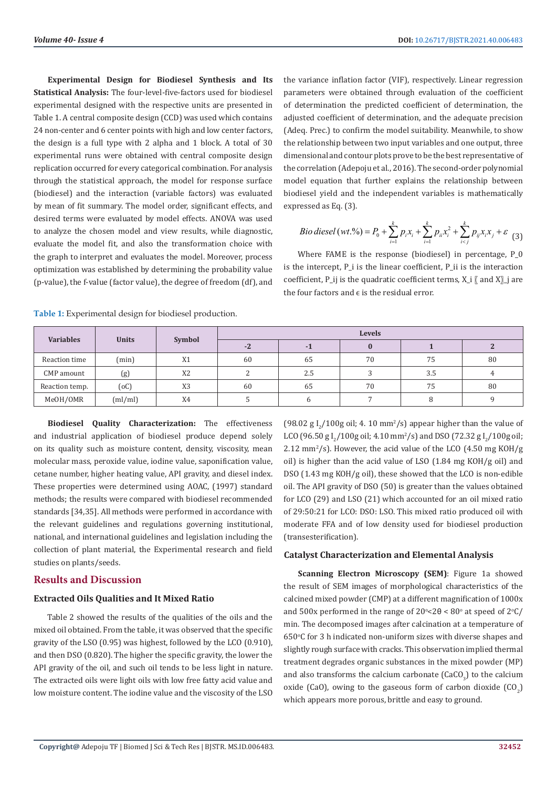**Experimental Design for Biodiesel Synthesis and Its Statistical Analysis:** The four-level-five-factors used for biodiesel experimental designed with the respective units are presented in Table 1. A central composite design (CCD) was used which contains 24 non-center and 6 center points with high and low center factors, the design is a full type with 2 alpha and 1 block. A total of 30 experimental runs were obtained with central composite design replication occurred for every categorical combination. For analysis through the statistical approach, the model for response surface (biodiesel) and the interaction (variable factors) was evaluated by mean of fit summary. The model order, significant effects, and desired terms were evaluated by model effects. ANOVA was used to analyze the chosen model and view results, while diagnostic, evaluate the model fit, and also the transformation choice with the graph to interpret and evaluates the model. Moreover, process optimization was established by determining the probability value (p-value), the f-value (factor value), the degree of freedom (df), and

the variance inflation factor (VIF), respectively. Linear regression parameters were obtained through evaluation of the coefficient of determination the predicted coefficient of determination, the adjusted coefficient of determination, and the adequate precision (Adeq. Prec.) to confirm the model suitability. Meanwhile, to show the relationship between two input variables and one output, three dimensional and contour plots prove to be the best representative of the correlation (Adepoju et al., 2016). The second-order polynomial model equation that further explains the relationship between biodiesel yield and the independent variables is mathematically expressed as Eq. (3).

*Bio diesel* (*wt* .%) = 
$$
P_0 + \sum_{i=1}^k p_i x_i + \sum_{i=1}^k p_{ii} x_i^2 + \sum_{i (3)
$$

Where FAME is the response (biodiesel) in percentage, P\_0 is the intercept, P\_i is the linear coefficient, P\_ii is the interaction coefficient, P\_ij is the quadratic coefficient terms,  $X_i$   $\lbrack \text{ and } X \rbrack_i$  are the four factors and  $\epsilon$  is the residual error.

| <b>Variables</b> | <b>Units</b> |                | <b>Levels</b> |     |    |     |    |  |  |
|------------------|--------------|----------------|---------------|-----|----|-----|----|--|--|
|                  |              | Symbol         | $-2$          |     |    |     |    |  |  |
| Reaction time    | (min)        | X1             | 60            | 65  | 70 | 75  | 80 |  |  |
| CMP amount       | (g)          | X <sub>2</sub> | $\sqrt{2}$    | 2.5 |    | 3.5 |    |  |  |
| Reaction temp.   | (oC)         | X <sub>3</sub> | 60            | 65  | 70 | 75  | 80 |  |  |
| MeOH/OMR         | (ml/ml)      | X4             |               | h   |    |     |    |  |  |

**Table 1:** Experimental design for biodiesel production.

**Biodiesel Quality Characterization:** The effectiveness and industrial application of biodiesel produce depend solely on its quality such as moisture content, density, viscosity, mean molecular mass, peroxide value, iodine value, saponification value, cetane number, higher heating value, API gravity, and diesel index. These properties were determined using AOAC, (1997) standard methods; the results were compared with biodiesel recommended standards [34,35]. All methods were performed in accordance with the relevant guidelines and regulations governing institutional, national, and international guidelines and legislation including the collection of plant material, the Experimental research and field studies on plants/seeds.

#### **Results and Discussion**

#### **Extracted Oils Qualities and It Mixed Ratio**

Table 2 showed the results of the qualities of the oils and the mixed oil obtained. From the table, it was observed that the specific gravity of the LSO (0.95) was highest, followed by the LCO (0.910), and then DSO (0.820). The higher the specific gravity, the lower the API gravity of the oil, and such oil tends to be less light in nature. The extracted oils were light oils with low free fatty acid value and low moisture content. The iodine value and the viscosity of the LSO

(98.02 g  $I_2/100$ g oil; 4. 10 mm<sup>2</sup>/s) appear higher than the value of LCO (96.50 g I<sub>2</sub>/100g oil; 4.10 mm<sup>2</sup>/s) and DSO (72.32 g I<sub>2</sub>/100g oil;  $2.12 \text{ mm}^2/\text{s}$ ). However, the acid value of the LCO (4.50 mg KOH/g oil) is higher than the acid value of LSO (1.84 mg KOH/g oil) and DSO (1.43 mg KOH/g oil), these showed that the LCO is non-edible oil. The API gravity of DSO (50) is greater than the values obtained for LCO (29) and LSO (21) which accounted for an oil mixed ratio of 29:50:21 for LCO: DSO: LSO. This mixed ratio produced oil with moderate FFA and of low density used for biodiesel production (transesterification).

#### **Catalyst Characterization and Elemental Analysis**

**Scanning Electron Microscopy (SEM)**: Figure 1a showed the result of SEM images of morphological characteristics of the calcined mixed powder (CMP) at a different magnification of 1000x and 500x performed in the range of  $20^{\circ} < 20 < 80^{\circ}$  at speed of  $2^{\circ}$ C/ min. The decomposed images after calcination at a temperature of 650°C for 3 h indicated non-uniform sizes with diverse shapes and slightly rough surface with cracks. This observation implied thermal treatment degrades organic substances in the mixed powder (MP) and also transforms the calcium carbonate (CaCO<sub>3</sub>) to the calcium oxide (CaO), owing to the gaseous form of carbon dioxide  $(CO_2)$ which appears more porous, brittle and easy to ground.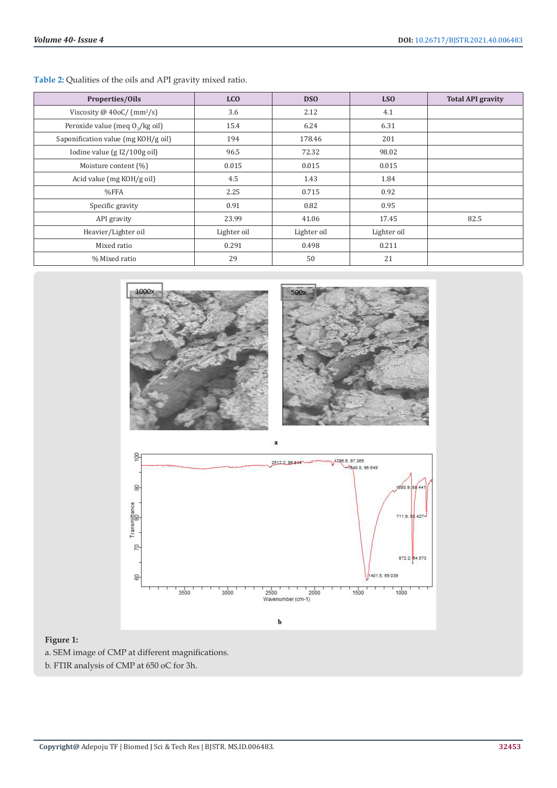**Table 2:** Qualities of the oils and API gravity mixed ratio.

| <b>Properties/Oils</b>                    | <b>LCO</b>  | <b>DSO</b>  | LS <sub>O</sub> | <b>Total API gravity</b> |
|-------------------------------------------|-------------|-------------|-----------------|--------------------------|
| Viscosity @ $40$ oC/ (mm <sup>2</sup> /s) | 3.6         | 2.12        | 4.1             |                          |
| Peroxide value (meq 0,/kg oil)            | 15.4        | 6.24        | 6.31            |                          |
| Saponification value (mg KOH/g oil)       | 194         | 178.46      | 201             |                          |
| Iodine value $(gI2/100g oil)$             | 96.5        | 72.32       | 98.02           |                          |
| Moisture content (%)                      | 0.015       | 0.015       | 0.015           |                          |
| Acid value (mg KOH/g oil)                 | 4.5         | 1.43        | 1.84            |                          |
| %FFA                                      | 2.25        | 0.715       | 0.92            |                          |
| Specific gravity                          | 0.91        | 0.82        | 0.95            |                          |
| API gravity                               | 23.99       | 41.06       | 17.45           | 82.5                     |
| Heavier/Lighter oil                       | Lighter oil | Lighter oil | Lighter oil     |                          |
| Mixed ratio                               | 0.291       | 0.498       | 0.211           |                          |
| % Mixed ratio                             | 29          | 50          | 21              |                          |



## **Figure 1:** a. SEM image of CMP at different magnifications.

b. FTIR analysis of CMP at 650 oC for 3h.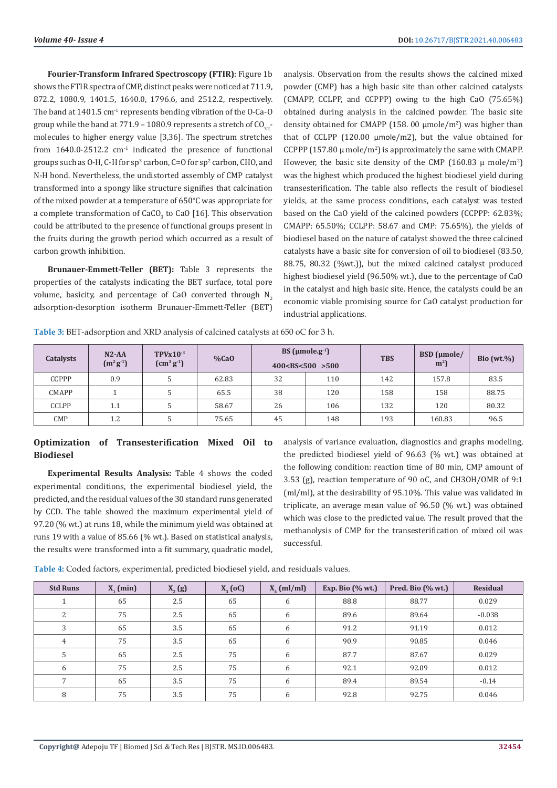**Fourier-Transform Infrared Spectroscopy (FTIR)**: Figure 1b shows the FTIR spectra of CMP, distinct peaks were noticed at 711.9, 872.2, 1080.9, 1401.5, 1640.0, 1796.6, and 2512.2, respectively. The band at  $1401.5$  cm<sup>-1</sup> represents bending vibration of the O-Ca-O group while the band at 771.9 – 1080.9 represents a stretch of  $CO_{32}$ molecules to higher energy value [3,36]. The spectrum stretches from  $1640.0\n-2512.2$  cm<sup>-1</sup> indicated the presence of functional groups such as  $O-H$ , C-H for  $sp^3$  carbon, C=O for  $sp^2$  carbon, CHO, and N-H bond. Nevertheless, the undistorted assembly of CMP catalyst transformed into a spongy like structure signifies that calcination of the mixed powder at a temperature of  $650^{\circ}$ C was appropriate for a complete transformation of  $\text{CaCO}_3^+$  to CaO [16]. This observation could be attributed to the presence of functional groups present in the fruits during the growth period which occurred as a result of carbon growth inhibition.

**Brunauer-Emmett-Teller (BET):** Table 3 represents the properties of the catalysts indicating the BET surface, total pore volume, basicity, and percentage of CaO converted through  $N<sub>2</sub>$ adsorption-desorption isotherm Brunauer-Emmett-Teller (BET)

analysis. Observation from the results shows the calcined mixed powder (CMP) has a high basic site than other calcined catalysts (CMAPP, CCLPP, and CCPPP) owing to the high CaO (75.65%) obtained during analysis in the calcined powder. The basic site density obtained for CMAPP (158. 00  $\mu$ mole/m<sup>2</sup>) was higher than that of CCLPP (120.00 μmole/m2), but the value obtained for CCPPP (157.80  $\mu$  mole/m<sup>2</sup>) is approximately the same with CMAPP. However, the basic site density of the CMP (160.83  $\mu$  mole/m<sup>2</sup>) was the highest which produced the highest biodiesel yield during transesterification. The table also reflects the result of biodiesel yields, at the same process conditions, each catalyst was tested based on the CaO yield of the calcined powders (CCPPP: 62.83%; CMAPP: 65.50%; CCLPP: 58.67 and CMP: 75.65%), the yields of biodiesel based on the nature of catalyst showed the three calcined catalysts have a basic site for conversion of oil to biodiesel (83.50, 88.75, 80.32 (%wt.)), but the mixed calcined catalyst produced highest biodiesel yield (96.50% wt.), due to the percentage of CaO in the catalyst and high basic site. Hence, the catalysts could be an economic viable promising source for CaO catalyst production for industrial applications.

**Table 3:** BET-adsorption and XRD analysis of calcined catalysts at 650 oC for 3 h.

| Catalysts    | $N2$ -AA<br>$(m^2g^1)$ | $TPVx10^{-3}$<br>$\rm[cm^3\,g^{\text{-}1}]$ | $%$ CaO | BS ( $\mu$ mole.g <sup>-1</sup> )<br>400 < B S < 500 > 500 |     | <b>TBS</b> | $BSD$ (µmole/<br>m <sup>2</sup> | Bio (wt. $\%$ ) |
|--------------|------------------------|---------------------------------------------|---------|------------------------------------------------------------|-----|------------|---------------------------------|-----------------|
| <b>CCPPP</b> | 0.9                    |                                             | 62.83   | 32                                                         | 110 | 142        | 157.8                           | 83.5            |
| <b>CMAPP</b> |                        |                                             | 65.5    | 38                                                         | 120 | 158        | 158                             | 88.75           |
| <b>CCLPP</b> | 1.1                    |                                             | 58.67   | 26                                                         | 106 | 132        | 120                             | 80.32           |
| <b>CMP</b>   | 1.2                    |                                             | 75.65   | 45                                                         | 148 | 193        | 160.83                          | 96.5            |

#### **Optimization of Transesterification Mixed Oil to Biodiesel**

**Experimental Results Analysis:** Table 4 shows the coded experimental conditions, the experimental biodiesel yield, the predicted, and the residual values of the 30 standard runs generated by CCD. The table showed the maximum experimental yield of 97.20 (% wt.) at runs 18, while the minimum yield was obtained at runs 19 with a value of 85.66 (% wt.). Based on statistical analysis, the results were transformed into a fit summary, quadratic model,

analysis of variance evaluation, diagnostics and graphs modeling, the predicted biodiesel yield of 96.63 (% wt.) was obtained at the following condition: reaction time of 80 min, CMP amount of 3.53 (g), reaction temperature of 90 oC, and CH3OH/OMR of 9:1 (ml/ml), at the desirability of 95.10%. This value was validated in triplicate, an average mean value of 96.50 (% wt.) was obtained which was close to the predicted value. The result proved that the methanolysis of CMP for the transesterification of mixed oil was successful.

**Table 4:** Coded factors, experimental, predicted biodiesel yield, and residuals values.

| <b>Std Runs</b> | $X_1$ (min) | $X_{2}(g)$ | $X_3$ (oC) | $X_{\mu}$ (ml/ml) | Exp. Bio $(\%$ wt.) | Pred. Bio $(\%$ wt.) | Residual |
|-----------------|-------------|------------|------------|-------------------|---------------------|----------------------|----------|
|                 | 65          | 2.5        | 65         | 6                 | 88.8                | 88.77                | 0.029    |
| 2               | 75          | 2.5        | 65         | 6                 | 89.6                | 89.64                | $-0.038$ |
| 3               | 65          | 3.5        | 65         | 6                 | 91.2                | 91.19                | 0.012    |
| 4               | 75          | 3.5        | 65         | 6                 | 90.9                | 90.85                | 0.046    |
|                 | 65          | 2.5        | 75         | 6                 | 87.7                | 87.67                | 0.029    |
| 6               | 75          | 2.5        | 75         | 6                 | 92.1                | 92.09                | 0.012    |
|                 | 65          | 3.5        | 75         | 6                 | 89.4                | 89.54                | $-0.14$  |
| 8               | 75          | 3.5        | 75         | 6                 | 92.8                | 92.75                | 0.046    |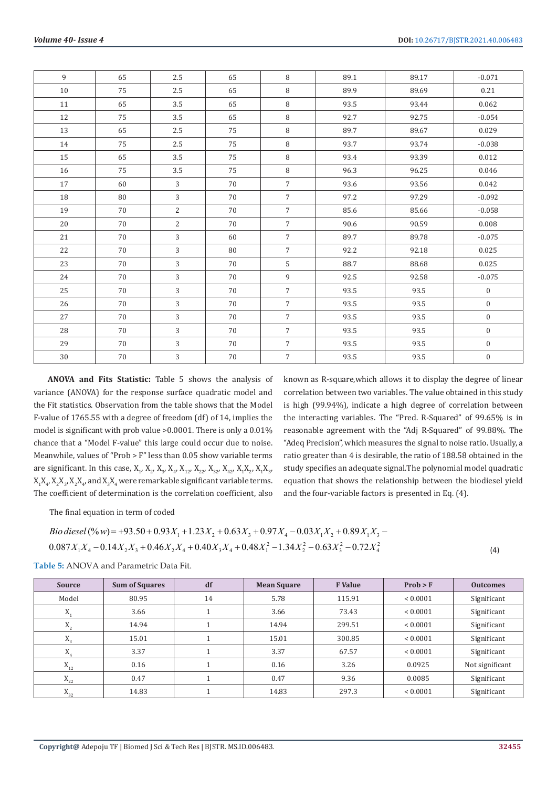| 9      | 65 | $2.5\,$          | 65     | $\, 8$         | 89.1 | 89.17 | $-0.071$         |
|--------|----|------------------|--------|----------------|------|-------|------------------|
| 10     | 75 | $2.5\phantom{0}$ | 65     | 8              | 89.9 | 89.69 | 0.21             |
| 11     | 65 | 3.5              | 65     | $\, 8$         | 93.5 | 93.44 | 0.062            |
| 12     | 75 | 3.5              | 65     | $\, 8$         | 92.7 | 92.75 | $-0.054$         |
| 13     | 65 | $2.5\,$          | 75     | 8              | 89.7 | 89.67 | 0.029            |
| 14     | 75 | $2.5\phantom{0}$ | 75     | $\, 8$         | 93.7 | 93.74 | $-0.038$         |
| 15     | 65 | 3.5              | 75     | $\, 8$         | 93.4 | 93.39 | 0.012            |
| 16     | 75 | $3.5\,$          | 75     | $\, 8$         | 96.3 | 96.25 | 0.046            |
| 17     | 60 | $\mathfrak{Z}$   | 70     | $\overline{7}$ | 93.6 | 93.56 | 0.042            |
| 18     | 80 | 3                | 70     | $\overline{7}$ | 97.2 | 97.29 | $-0.092$         |
| 19     | 70 | $\overline{c}$   | 70     | $\overline{7}$ | 85.6 | 85.66 | $-0.058$         |
| 20     | 70 | $\overline{2}$   | 70     | $\overline{7}$ | 90.6 | 90.59 | 0.008            |
| 21     | 70 | 3                | 60     | $\overline{7}$ | 89.7 | 89.78 | $-0.075$         |
| 22     | 70 | 3                | 80     | $\overline{7}$ | 92.2 | 92.18 | 0.025            |
| 23     | 70 | 3                | 70     | 5              | 88.7 | 88.68 | 0.025            |
| 24     | 70 | 3                | 70     | 9              | 92.5 | 92.58 | $-0.075$         |
| 25     | 70 | 3                | 70     | $\overline{7}$ | 93.5 | 93.5  | $\overline{0}$   |
| 26     | 70 | 3                | 70     | $\overline{7}$ | 93.5 | 93.5  | $\boldsymbol{0}$ |
| 27     | 70 | 3                | 70     | $\overline{7}$ | 93.5 | 93.5  | $\boldsymbol{0}$ |
| 28     | 70 | 3                | 70     | $\overline{7}$ | 93.5 | 93.5  | $\mathbf{0}$     |
| 29     | 70 | 3                | 70     | $\overline{7}$ | 93.5 | 93.5  | $\boldsymbol{0}$ |
| $30\,$ | 70 | 3                | $70\,$ | $\overline{7}$ | 93.5 | 93.5  | $\boldsymbol{0}$ |

**ANOVA and Fits Statistic:** Table 5 shows the analysis of variance (ANOVA) for the response surface quadratic model and the Fit statistics. Observation from the table shows that the Model F-value of 1765.55 with a degree of freedom (df) of 14, implies the model is significant with prob value >0.0001. There is only a 0.01% chance that a "Model F-value" this large could occur due to noise. Meanwhile, values of "Prob > F" less than 0.05 show variable terms are significant. In this case,  $X_1$ ,  $X_2$ ,  $X_3$ ,  $X_4$ ,  $X_{12}$ ,  $X_{22}$ ,  $X_{32}$ ,  $X_{42}$ ,  $X_1X_2$ ,  $X_1X_3$ ,  $X_1X_4$ ,  $X_2X_3$ ,  $X_2X_4$ , and  $X_3X_4$  were remarkable significant variable terms. The coefficient of determination is the correlation coefficient, also

known as R-square,which allows it to display the degree of linear correlation between two variables. The value obtained in this study is high (99.94%), indicate a high degree of correlation between the interacting variables. The "Pred. R-Squared" of 99.65% is in reasonable agreement with the "Adj R-Squared" of 99.88%. The "Adeq Precision", which measures the signal to noise ratio. Usually, a ratio greater than 4 is desirable, the ratio of 188.58 obtained in the study specifies an adequate signal.The polynomial model quadratic equation that shows the relationship between the biodiesel yield and the four-variable factors is presented in Eq. (4).

The final equation in term of coded

*Bio diesel* (
$$
\% w
$$
) = +93.50 + 0.93 $X_1$  + 1.23 $X_2$  + 0.63 $X_3$  + 0.97 $X_4$  - 0.03 $X_1 X_2$  + 0.89 $X_1 X_3$  -  
0.087 $X_1 X_4$  - 0.14 $X_2 X_3$  + 0.46 $X_2 X_4$  + 0.40 $X_3 X_4$  + 0.48 $X_1^2$  - 1.34 $X_2^2$  - 0.63 $X_3^2$  - 0.72 $X_4^2$  (4)

**Table 5:** ANOVA and Parametric Data Fit.

| <b>Source</b>              | <b>Sum of Squares</b> | df | <b>Mean Square</b> | <b>F</b> Value | Prob > F     | <b>Outcomes</b> |
|----------------------------|-----------------------|----|--------------------|----------------|--------------|-----------------|
| Model                      | 80.95                 | 14 | 5.78               | 115.91         | < 0.0001     | Significant     |
| Λ,                         | 3.66                  |    | 3.66               | 73.43          | < 0.0001     | Significant     |
| X,                         | 14.94                 |    | 14.94              | 299.51         | ${}< 0.0001$ | Significant     |
| $\Lambda_{2}$              | 15.01                 |    | 15.01              | 300.85         | ${}< 0.0001$ | Significant     |
| Λ.                         | 3.37                  |    | 3.37               | 67.57          | < 0.0001     | Significant     |
| $\mathbf{X}_{\mathbf{12}}$ | 0.16                  |    | 0.16               | 3.26           | 0.0925       | Not significant |
| $\mathbf{X}_{\mathbf{22}}$ | 0.47                  |    | 0.47               | 9.36           | 0.0085       | Significant     |
| $X_{32}$                   | 14.83                 |    | 14.83              | 297.3          | ${}< 0.0001$ | Significant     |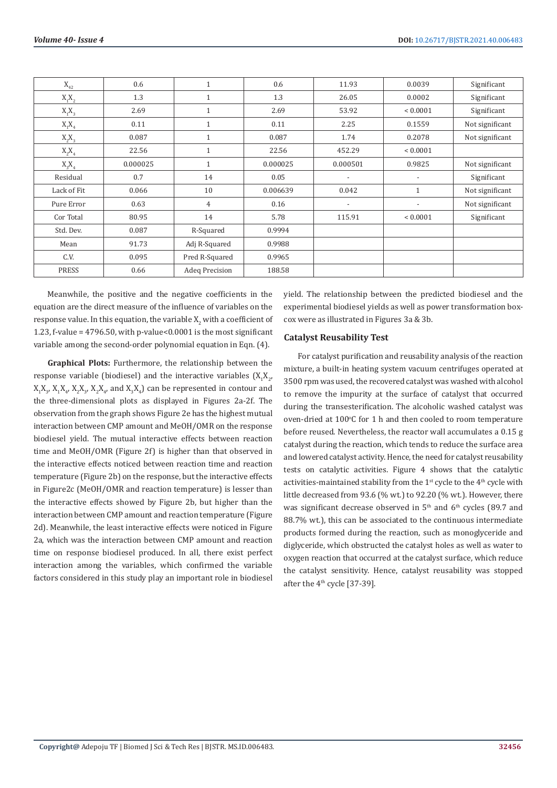| $\mathbf{X}_{_{42}}$ | 0.6      | $\mathbf{1}$   | 0.6      | 11.93                    | 0.0039                   | Significant     |
|----------------------|----------|----------------|----------|--------------------------|--------------------------|-----------------|
| $X_1X_2$             | 1.3      | $\mathbf{1}$   | 1.3      | 26.05                    | 0.0002                   | Significant     |
| $X_1X_3$             | 2.69     | $\mathbf{1}$   | 2.69     | 53.92                    | ${}< 0.0001$             | Significant     |
| $X_1X_4$             | 0.11     | $\mathbf{1}$   | 0.11     | 2.25                     | 0.1559                   | Not significant |
| $X_2X_3$             | 0.087    | $\mathbf{1}$   | 0.087    | 1.74                     | 0.2078                   | Not significant |
| $X_2X_4$             | 22.56    | $\mathbf{1}$   | 22.56    | 452.29                   | ${}< 0.0001$             |                 |
| $X_3X_4$             | 0.000025 | $\mathbf{1}$   | 0.000025 | 0.000501                 | 0.9825                   | Not significant |
| Residual             | 0.7      | 14             | 0.05     | $\overline{\phantom{a}}$ | $\overline{\phantom{a}}$ | Significant     |
| Lack of Fit          | 0.066    | 10             | 0.006639 | 0.042                    | $\mathbf{1}$             | Not significant |
| Pure Error           | 0.63     | 4              | 0.16     | $\overline{\phantom{a}}$ |                          | Not significant |
| Cor Total            | 80.95    | 14             | 5.78     | 115.91                   | ${}< 0.0001$             | Significant     |
| Std. Dev.            | 0.087    | R-Squared      | 0.9994   |                          |                          |                 |
| Mean                 | 91.73    | Adj R-Squared  | 0.9988   |                          |                          |                 |
| C.V.                 | 0.095    | Pred R-Squared | 0.9965   |                          |                          |                 |
| <b>PRESS</b>         | 0.66     | Adeq Precision | 188.58   |                          |                          |                 |

Meanwhile, the positive and the negative coefficients in the equation are the direct measure of the influence of variables on the response value. In this equation, the variable  $\mathrm{X}_2$  with a coefficient of 1.23, f-value =  $4796.50$ , with p-value< $0.0001$  is the most significant variable among the second-order polynomial equation in Eqn. (4).

**Graphical Plots:** Furthermore, the relationship between the response variable (biodiesel) and the interactive variables  $(X_1X_2,$  $X_1X_3$ ,  $X_1X_4$ ,  $X_2X_3$ ,  $X_2X_4$ , and  $X_3X_4$ ) can be represented in contour and the three-dimensional plots as displayed in Figures 2a-2f. The observation from the graph shows Figure 2e has the highest mutual interaction between CMP amount and MeOH/OMR on the response biodiesel yield. The mutual interactive effects between reaction time and MeOH/OMR (Figure 2f) is higher than that observed in the interactive effects noticed between reaction time and reaction temperature (Figure 2b) on the response, but the interactive effects in Figure2c (MeOH/OMR and reaction temperature) is lesser than the interactive effects showed by Figure 2b, but higher than the interaction between CMP amount and reaction temperature (Figure 2d). Meanwhile, the least interactive effects were noticed in Figure 2a, which was the interaction between CMP amount and reaction time on response biodiesel produced. In all, there exist perfect interaction among the variables, which confirmed the variable factors considered in this study play an important role in biodiesel

yield. The relationship between the predicted biodiesel and the experimental biodiesel yields as well as power transformation boxcox were as illustrated in Figures 3a & 3b.

#### **Catalyst Reusability Test**

For catalyst purification and reusability analysis of the reaction mixture, a built-in heating system vacuum centrifuges operated at 3500 rpm was used, the recovered catalyst was washed with alcohol to remove the impurity at the surface of catalyst that occurred during the transesterification. The alcoholic washed catalyst was oven-dried at  $100^{\circ}$ C for 1 h and then cooled to room temperature before reused. Nevertheless, the reactor wall accumulates a 0.15 g catalyst during the reaction, which tends to reduce the surface area and lowered catalyst activity. Hence, the need for catalyst reusability tests on catalytic activities. Figure 4 shows that the catalytic activities-maintained stability from the 1<sup>st</sup> cycle to the 4<sup>th</sup> cycle with little decreased from 93.6 (% wt.) to 92.20 (% wt.). However, there was significant decrease observed in  $5<sup>th</sup>$  and  $6<sup>th</sup>$  cycles (89.7 and 88.7% wt.), this can be associated to the continuous intermediate products formed during the reaction, such as monoglyceride and diglyceride, which obstructed the catalyst holes as well as water to oxygen reaction that occurred at the catalyst surface, which reduce the catalyst sensitivity. Hence, catalyst reusability was stopped after the 4<sup>th</sup> cycle [37-39].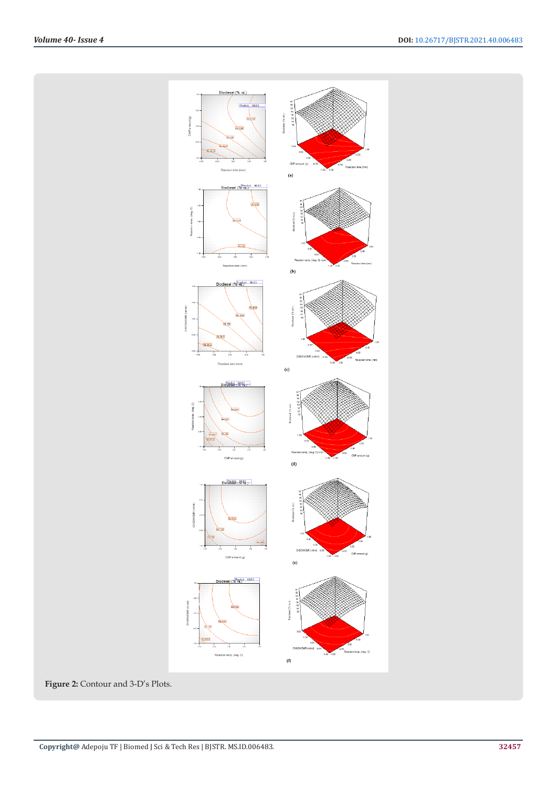

**Figure 2:** Contour and 3-D's Plots.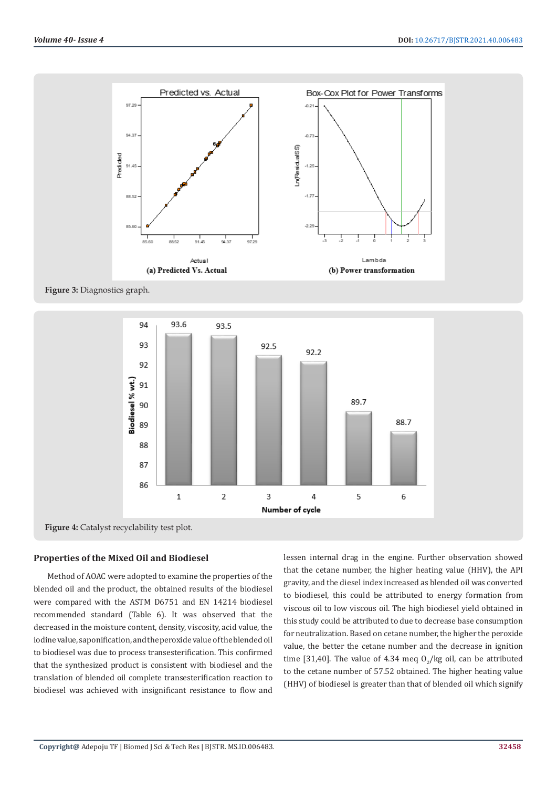

**Figure 3:** Diagnostics graph.



**Figure 4:** Catalyst recyclability test plot.

### **Properties of the Mixed Oil and Biodiesel**

Method of AOAC were adopted to examine the properties of the blended oil and the product, the obtained results of the biodiesel were compared with the ASTM D6751 and EN 14214 biodiesel recommended standard (Table 6). It was observed that the decreased in the moisture content, density, viscosity, acid value, the iodine value, saponification, and the peroxide value of the blended oil to biodiesel was due to process transesterification. This confirmed that the synthesized product is consistent with biodiesel and the translation of blended oil complete transesterification reaction to biodiesel was achieved with insignificant resistance to flow and

lessen internal drag in the engine. Further observation showed that the cetane number, the higher heating value (HHV), the API gravity, and the diesel index increased as blended oil was converted to biodiesel, this could be attributed to energy formation from viscous oil to low viscous oil. The high biodiesel yield obtained in this study could be attributed to due to decrease base consumption for neutralization. Based on cetane number, the higher the peroxide value, the better the cetane number and the decrease in ignition time [31,40]. The value of 4.34 meq  $O_2$ /kg oil, can be attributed to the cetane number of 57.52 obtained. The higher heating value (HHV) of biodiesel is greater than that of blended oil which signify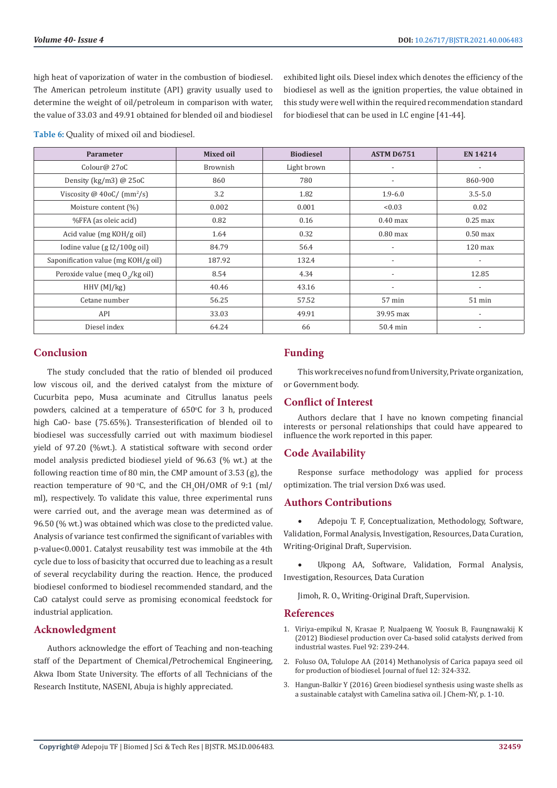high heat of vaporization of water in the combustion of biodiesel. The American petroleum institute (API) gravity usually used to determine the weight of oil/petroleum in comparison with water, the value of 33.03 and 49.91 obtained for blended oil and biodiesel exhibited light oils. Diesel index which denotes the efficiency of the biodiesel as well as the ignition properties, the value obtained in this study were well within the required recommendation standard for biodiesel that can be used in I.C engine [41-44].

**Table 6:** Quality of mixed oil and biodiesel.

| <b>Parameter</b>                    | <b>Mixed oil</b> | <b>Biodiesel</b> | <b>ASTM D6751</b>        | <b>EN 14214</b>          |
|-------------------------------------|------------------|------------------|--------------------------|--------------------------|
| Colour@ 27oC                        | Brownish         | Light brown      | $\overline{\phantom{a}}$ | $\overline{\phantom{a}}$ |
| Density (kg/m3) $@$ 25oC            | 860              | 780              | $\overline{\phantom{a}}$ | 860-900                  |
| Viscosity @ $40oC/(mm^2/s)$         | 3.2              | 1.82             | $1.9 - 6.0$              | $3.5 - 5.0$              |
| Moisture content (%)                | 0.002            | 0.001            | < 0.03                   | 0.02                     |
| %FFA (as oleic acid)                | 0.82             | 0.16             | $0.40$ max               | $0.25$ max               |
| Acid value ( $mg KOH/g$ oil)        | 1.64             | 0.32             | $0.80$ max               | $0.50$ max               |
| Iodine value $(gI2/100g oil)$       | 84.79            | 56.4             | $\overline{\phantom{a}}$ | $120 \text{ max}$        |
| Saponification value (mg KOH/g oil) | 187.92           | 132.4            |                          | $\overline{\phantom{a}}$ |
| Peroxide value (meq 0,/kg oil)      | 8.54             | 4.34             | $\overline{\phantom{a}}$ | 12.85                    |
| HHV(MJ/kg)                          | 40.46            | 43.16            | $\overline{\phantom{a}}$ | $\overline{\phantom{a}}$ |
| Cetane number                       | 56.25            | 57.52            | 57 min                   | $51$ min                 |
| API                                 | 33.03            | 49.91            | 39.95 max                | $\overline{\phantom{0}}$ |
| Diesel index                        | 64.24            | 66               | 50.4 min                 | $\overline{\phantom{a}}$ |

#### **Conclusion**

The study concluded that the ratio of blended oil produced low viscous oil, and the derived catalyst from the mixture of Cucurbita pepo, Musa acuminate and Citrullus lanatus peels powders, calcined at a temperature of  $650^{\circ}$ C for 3 h, produced high CaO- base (75.65%). Transesterification of blended oil to biodiesel was successfully carried out with maximum biodiesel yield of 97.20 (%wt.). A statistical software with second order model analysis predicted biodiesel yield of 96.63 (% wt.) at the following reaction time of 80 min, the CMP amount of 3.53 (g), the reaction temperature of 90 °C, and the  $\text{CH}_3\text{OH}/\text{OMR}$  of 9:1 (ml/ ml), respectively. To validate this value, three experimental runs were carried out, and the average mean was determined as of 96.50 (% wt.) was obtained which was close to the predicted value. Analysis of variance test confirmed the significant of variables with p-value<0.0001. Catalyst reusability test was immobile at the 4th cycle due to loss of basicity that occurred due to leaching as a result of several recyclability during the reaction. Hence, the produced biodiesel conformed to biodiesel recommended standard, and the CaO catalyst could serve as promising economical feedstock for industrial application.

#### **Acknowledgment**

Authors acknowledge the effort of Teaching and non-teaching staff of the Department of Chemical/Petrochemical Engineering, Akwa Ibom State University. The efforts of all Technicians of the Research Institute, NASENI, Abuja is highly appreciated.

### **Funding**

This work receives no fund from University, Private organization, or Government body.

#### **Conflict of Interest**

Authors declare that I have no known competing financial interests or personal relationships that could have appeared to influence the work reported in this paper.

#### **Code Availability**

Response surface methodology was applied for process optimization. The trial version Dx6 was used.

#### **Authors Contributions**

Adepoju T. F, Conceptualization, Methodology, Software, Validation, Formal Analysis, Investigation, Resources, Data Curation, Writing-Original Draft, Supervision.

Ukpong AA, Software, Validation, Formal Analysis, Investigation, Resources, Data Curation

Jimoh, R. O., Writing-Original Draft, Supervision.

#### **References**

- 1. [Viriya-empikul N, Krasae P, Nualpaeng W, Yoosuk B, Faungnawakij K](https://www.sciencedirect.com/science/article/abs/pii/S0016236111004108) [\(2012\) Biodiesel production over Ca-based solid catalysts derived from](https://www.sciencedirect.com/science/article/abs/pii/S0016236111004108) [industrial wastes. Fuel 92: 239-244.](https://www.sciencedirect.com/science/article/abs/pii/S0016236111004108)
- 2. Foluso OA, Tolulope AA (2014) Methanolysis of Carica papaya seed oil for production of biodiesel. Journal of fuel 12: 324-332.
- 3. [Hangun-Balkir Y \(2016\) Green biodiesel synthesis using waste shells as](https://www.researchgate.net/publication/312432982_Green_Biodiesel_Synthesis_Using_Waste_Shells_as_Sustainable_Catalysts_with_Camelina_sativa_Oil) [a sustainable catalyst with Camelina sativa oil. J Chem-NY, p. 1-10.](https://www.researchgate.net/publication/312432982_Green_Biodiesel_Synthesis_Using_Waste_Shells_as_Sustainable_Catalysts_with_Camelina_sativa_Oil)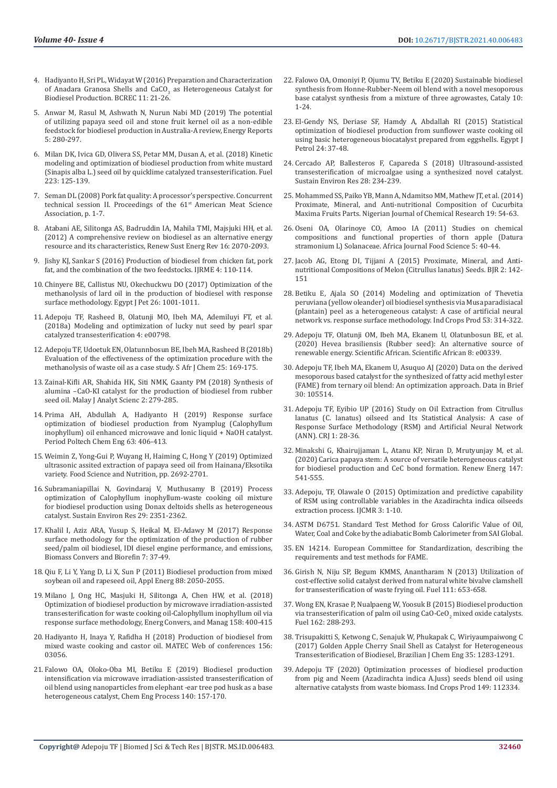- 4. [Hadiyanto H, Sri PL, Widayat W \(2016\) Preparation and Characterization](https://ejournal2.undip.ac.id/index.php/bcrec/article/view/402)  of Anadara Granosa Shells and  $CaCO<sub>3</sub>$  as Heterogeneous Catalyst for [Biodiesel Production. BCREC 11: 21-26.](https://ejournal2.undip.ac.id/index.php/bcrec/article/view/402)
- 5. [Anwar M, Rasul M, Ashwath N, Nurun Nabi MD \(2019\) The potential](https://www.sciencedirect.com/science/article/pii/S2352484718303640)  [of utilizing papaya seed oil and stone fruit kernel oil as a non-edible](https://www.sciencedirect.com/science/article/pii/S2352484718303640)  [feedstock for biodiesel production in Australia-A review, Energy Reports](https://www.sciencedirect.com/science/article/pii/S2352484718303640)  [5: 280-297.](https://www.sciencedirect.com/science/article/pii/S2352484718303640)
- 6. Milan DK, Ivica GD, Olivera SS, Petar MM, Dusan A, et al. (2018) Kinetic modeling and optimization of biodiesel production from white mustard (Sinapis alba L.) seed oil by quicklime catalyzed transesterification. Fuel 223: 125-139.
- 7. Seman DL (2008) Pork fat quality: A processor's perspective. Concurrent technical session II. Proceedings of the 61<sup>st</sup> American Meat Science Association, p. 1-7.
- 8. Atabani AE, Silitonga AS, Badruddin IA, Mahila TMI, Majsjuki HH, et al. (2012) A comprehensive review on biodiesel as an alternative energy resource and its characteristics, Renew Sust Energ Rev 16: 2070-2093.
- 9. Jishy KJ, Sankar S (2016) Production of biodiesel from chicken fat, pork fat, and the combination of the two feedstocks. IJRME 4: 110-114.
- 10. Chinyere BE, Callistus NU, Okechuckwu DO (2017) Optimization of the methanolysis of lard oil in the production of biodiesel with response surface methodology. Egypt J Pet 26: 1001-1011.
- 11. [Adepoju TF, Rasheed B, Olatunji MO, Ibeh MA, Ademiluyi FT, et al.](https://www.researchgate.net/publication/327765476_Modeling_and_optimization_of_lucky_nut_biodiesel_production_from_lucky_nut_seed_by_pearl_spar_catalysed_transesterification)  [\(2018a\) Modeling and optimization of lucky nut seed by pearl spar](https://www.researchgate.net/publication/327765476_Modeling_and_optimization_of_lucky_nut_biodiesel_production_from_lucky_nut_seed_by_pearl_spar_catalysed_transesterification)  [catalyzed transesterification 4: e00798.](https://www.researchgate.net/publication/327765476_Modeling_and_optimization_of_lucky_nut_biodiesel_production_from_lucky_nut_seed_by_pearl_spar_catalysed_transesterification)
- 12. Adepoju TF, Udoetuk EN, Olatunnbosun BE, Ibeh MA, Rasheed B (2018b) Evaluation of the effectiveness of the optimization procedure with the methanolysis of waste oil as a case study. S Afr J Chem 25: 169-175.
- 13. [Zainal-Kifli AR, Shahida HK, Siti NMK, Gaanty PM \(2018\) Synthesis of](http://www.ukm.my/mjas/v22_n2/pdf/ZainalKifli_22_2_13.pdf)  [alumina –CaO-KI catalyst for the production of biodiesel from rubber](http://www.ukm.my/mjas/v22_n2/pdf/ZainalKifli_22_2_13.pdf)  [seed oil. Malay J Analyt Scienc 2: 279-285.](http://www.ukm.my/mjas/v22_n2/pdf/ZainalKifli_22_2_13.pdf)
- 14. [Prima AH, Abdullah A, Hadiyanto H \(2019\) Response surface](https://pp.bme.hu/ch/article/view/12965)  [optimization of biodiesel production from Nyamplug \(Calophyllum](https://pp.bme.hu/ch/article/view/12965)  [inophyllum\) oil enhanced microwave and Ionic liquid + NaOH catalyst.](https://pp.bme.hu/ch/article/view/12965)  [Period Poltech Chem Eng 63: 406-413.](https://pp.bme.hu/ch/article/view/12965)
- 15. [Weimin Z, Yong-Gui P, Wuyang H, Haiming C, Hong Y \(2019\) Optimized](https://www.ncbi.nlm.nih.gov/pmc/articles/PMC6694413/)  [ultrasonic assited extraction of papaya seed oil from Hainana/Eksotika](https://www.ncbi.nlm.nih.gov/pmc/articles/PMC6694413/)  [variety. Food Science and Nutrition, pp. 2692-2701.](https://www.ncbi.nlm.nih.gov/pmc/articles/PMC6694413/)
- 16. Subramaniapillai N, Govindaraj V, Muthusamy B (2019) Process optimization of Calophyllum inophyllum-waste cooking oil mixture for biodiesel production using Donax deltoids shells as heterogeneous catalyst. Sustain Environ Res 29: 2351-2362.
- 17. Khalil I, Aziz ARA, Yusup S, Heikal M, El-Adawy M (2017) Response surface methodology for the optimization of the production of rubber seed/palm oil biodiesel, IDI diesel engine performance, and emissions, Biomass Convers and Biorefin 7: 37-49.
- 18. [Qiu F, Li Y, Yang D, Li X, Sun P \(2011\) Biodiesel production from mixed](file:///F:/New%20Journals/BJSTR.MS.ID.006483/BJSTR-AGR-21-RA-223_W/BJSTR-AGR-21-RA-223_W/o)  [soybean oil and rapeseed oil, Appl Energ 88: 2050-2055.](file:///F:/New%20Journals/BJSTR.MS.ID.006483/BJSTR-AGR-21-RA-223_W/BJSTR-AGR-21-RA-223_W/o)
- 19. [Milano J, Ong HC, Masjuki H, Silitonga A, Chen HW, et al. \(2018\)](https://www.researchgate.net/publication/322385523_Optimization_of_biodiesel_production_by_microwave_irradiation-assisted_transesterification_for_waste_cooking_oil-Calophyllum_inophyllum_oil_via_response_surface_methodology)  [Optimization of biodiesel production by microwave irradiation-assisted](https://www.researchgate.net/publication/322385523_Optimization_of_biodiesel_production_by_microwave_irradiation-assisted_transesterification_for_waste_cooking_oil-Calophyllum_inophyllum_oil_via_response_surface_methodology)  [transesterification for waste cooking oil-Calophyllum inophyllum oil via](https://www.researchgate.net/publication/322385523_Optimization_of_biodiesel_production_by_microwave_irradiation-assisted_transesterification_for_waste_cooking_oil-Calophyllum_inophyllum_oil_via_response_surface_methodology)  [response surface methodology, Energ Convers, and Manag 158: 400-415](https://www.researchgate.net/publication/322385523_Optimization_of_biodiesel_production_by_microwave_irradiation-assisted_transesterification_for_waste_cooking_oil-Calophyllum_inophyllum_oil_via_response_surface_methodology)
- 20. [Hadiyanto H, Inaya Y, Rafidha H \(2018\) Production of biodiesel from](https://www.researchgate.net/publication/323753013_Production_of_Biodiesel_from_Mixed_Waste_Cooking_and_Castor_Oil)  [mixed waste cooking and castor oil. MATEC Web of conferences 156:](https://www.researchgate.net/publication/323753013_Production_of_Biodiesel_from_Mixed_Waste_Cooking_and_Castor_Oil)  [03056.](https://www.researchgate.net/publication/323753013_Production_of_Biodiesel_from_Mixed_Waste_Cooking_and_Castor_Oil)
- 21. [Falowo OA, Oloko-Oba MI, Betiku E \(2019\) Biodiesel production](https://www.researchgate.net/publication/332433644_Biodiesel_production_intensification_via_microwave_irradiation-assisted_transesterification_of_oil_blend_using_nanoparticles_from_elephant-ear_tree_pod_husk_as_a_base_heterogeneous_catalyst)  [intensification via microwave irradiation-assisted transesterification of](https://www.researchgate.net/publication/332433644_Biodiesel_production_intensification_via_microwave_irradiation-assisted_transesterification_of_oil_blend_using_nanoparticles_from_elephant-ear_tree_pod_husk_as_a_base_heterogeneous_catalyst)  [oil blend using nanoparticles from elephant -ear tree pod husk as a base](https://www.researchgate.net/publication/332433644_Biodiesel_production_intensification_via_microwave_irradiation-assisted_transesterification_of_oil_blend_using_nanoparticles_from_elephant-ear_tree_pod_husk_as_a_base_heterogeneous_catalyst)  [heterogeneous catalyst, Chem Eng Process 140: 157-170.](https://www.researchgate.net/publication/332433644_Biodiesel_production_intensification_via_microwave_irradiation-assisted_transesterification_of_oil_blend_using_nanoparticles_from_elephant-ear_tree_pod_husk_as_a_base_heterogeneous_catalyst)
- 22. [Falowo OA, Omoniyi P, Ojumu TV, Betiku E \(2020\) Sustainable biodiesel](https://www.researchgate.net/publication/339051860_Sustainable_Biodiesel_Synthesis_from_Honne-Rubber-_Neem_Oil_Blend_with_a_Novel_Mesoporous_Base_Catalyst_Synthesized_from_a_Mixture_of_Three_Agrowastes) [synthesis from Honne-Rubber-Neem oil blend with a novel mesoporous](https://www.researchgate.net/publication/339051860_Sustainable_Biodiesel_Synthesis_from_Honne-Rubber-_Neem_Oil_Blend_with_a_Novel_Mesoporous_Base_Catalyst_Synthesized_from_a_Mixture_of_Three_Agrowastes) [base catalyst synthesis from a mixture of three agrowastes, Cataly 10:](https://www.researchgate.net/publication/339051860_Sustainable_Biodiesel_Synthesis_from_Honne-Rubber-_Neem_Oil_Blend_with_a_Novel_Mesoporous_Base_Catalyst_Synthesized_from_a_Mixture_of_Three_Agrowastes) [1-24.](https://www.researchgate.net/publication/339051860_Sustainable_Biodiesel_Synthesis_from_Honne-Rubber-_Neem_Oil_Blend_with_a_Novel_Mesoporous_Base_Catalyst_Synthesized_from_a_Mixture_of_Three_Agrowastes)
- 23. El-Gendy NS, Deriase SF, Hamdy A, Abdallah RI (2015) Statistical optimization of biodiesel production from sunflower waste cooking oil using basic heterogeneous biocatalyst prepared from eggshells. Egypt J Petrol 24: 37-48.
- 24. Cercado AP, Ballesteros F, Capareda S (2018) Ultrasound-assisted transesterification of microalgae using a synthesized novel catalyst. Sustain Environ Res 28: 234-239.
- 25. Mohammed SS, Paiko YB, Mann A, Ndamitso MM, Mathew JT, et al. (2014) Proximate, Mineral, and Anti-nutritional Composition of Cucurbita Maxima Fruits Parts. Nigerian Journal of Chemical Research 19: 54-63.
- 26. [Oseni OA, Olarinoye CO, Amoo IA \(2011\) Studies on chemical](https://citeseerx.ist.psu.edu/viewdoc/download?doi=10.1.1.1061.9397&rep=rep1&type=pdf) [compositions and functional properties of thorn apple \(Datura](https://citeseerx.ist.psu.edu/viewdoc/download?doi=10.1.1.1061.9397&rep=rep1&type=pdf) [stramonium L\) Solanaceae. Africa Journal Food Science 5: 40-44.](https://citeseerx.ist.psu.edu/viewdoc/download?doi=10.1.1.1061.9397&rep=rep1&type=pdf)
- 27. Jacob AG, Etong DI, Tijjani A (2015) Proximate, Mineral, and Antinutritional Compositions of Melon (Citrullus lanatus) Seeds. BJR 2: 142- 151
- 28. [Betiku E, Ajala SO \(2014\) Modeling and optimization of Thevetia](https://www.researchgate.net/publication/260007876_Modeling_and_optimization_of_Thevetia_peruviana_yellow_oleander_oil_biodiesel_synthesis_via_Musa_Paradisiacal_Plantain_peels_as_heterogeneous_base_catalyst_A_case_of_artificial_neural_network_vs_respo) [peruviana \(yellow oleander\) oil biodiesel synthesis via Musa paradisiacal](https://www.researchgate.net/publication/260007876_Modeling_and_optimization_of_Thevetia_peruviana_yellow_oleander_oil_biodiesel_synthesis_via_Musa_Paradisiacal_Plantain_peels_as_heterogeneous_base_catalyst_A_case_of_artificial_neural_network_vs_respo) [\(plantain\) peel as a heterogeneous catalyst: A case of artificial neural](https://www.researchgate.net/publication/260007876_Modeling_and_optimization_of_Thevetia_peruviana_yellow_oleander_oil_biodiesel_synthesis_via_Musa_Paradisiacal_Plantain_peels_as_heterogeneous_base_catalyst_A_case_of_artificial_neural_network_vs_respo) [network vs. response surface methodology. Ind Crops Prod 53: 314-322.](https://www.researchgate.net/publication/260007876_Modeling_and_optimization_of_Thevetia_peruviana_yellow_oleander_oil_biodiesel_synthesis_via_Musa_Paradisiacal_Plantain_peels_as_heterogeneous_base_catalyst_A_case_of_artificial_neural_network_vs_respo)
- 29. Adepoju TF, Olatunji OM, Ibeh MA, Ekanem U, Olatunbosun BE, et al. (2020) Hevea brasiliensis (Rubber seed): An alternative source of renewable energy. Scientific African. Scientific African 8: e00339.
- 30. [Adepoju TF, Ibeh MA, Ekanem U, Asuquo AJ \(2020\) Data on the derived](https://pubmed.ncbi.nlm.nih.gov/32368584/) [mesoporous based catalyst for the synthesized of fatty acid methyl ester](https://pubmed.ncbi.nlm.nih.gov/32368584/) [\(FAME\) from ternary oil blend: An optimization approach. Data in Brief](https://pubmed.ncbi.nlm.nih.gov/32368584/) [30: 105514.](https://pubmed.ncbi.nlm.nih.gov/32368584/)
- 31. Adepoju TF, Eyibio UP (2016) Study on Oil Extraction from Citrullus lanatus (C. lanatus) oilseed and Its Statistical Analysis: A case of Response Surface Methodology (RSM) and Artificial Neural Network (ANN). CRJ 1: 28-36.
- 32. Minakshi G, Khairujjaman L, Atanu KP, Niran D, Mrutyunjay M, et al. (2020) Carica papaya stem: A source of versatile heterogeneous catalyst for biodiesel production and CeC bond formation. Renew Energ 147: 541-555.
- 33. [Adepoju, TF, Olawale O \(2015\) Optimization and predictive capability](file:///C:\Users\Biomedres\Downloads\BJSTR-AGR-21-RA-223_(3.12.2021)\1.%09http:\www.conscientiabeam.com\pdf-files\che\64\IJCMR-2015-3(1)-1-10.pdf) [of RSM using controllable variables in the Azadirachta indica oilseeds](file:///C:\Users\Biomedres\Downloads\BJSTR-AGR-21-RA-223_(3.12.2021)\1.%09http:\www.conscientiabeam.com\pdf-files\che\64\IJCMR-2015-3(1)-1-10.pdf) [extraction process. IJCMR 3: 1-10.](file:///C:\Users\Biomedres\Downloads\BJSTR-AGR-21-RA-223_(3.12.2021)\1.%09http:\www.conscientiabeam.com\pdf-files\che\64\IJCMR-2015-3(1)-1-10.pdf)
- 34. ASTM D6751. Standard Test Method for Gross Calorific Value of Oil, Water, Coal and Coke by the adiabatic Bomb Calorimeter from SAI Global.
- 35. EN 14214. European Committee for Standardization, describing the requirements and test methods for FAME.
- 36. [Girish N, Niju SP, Begum KMMS, Anantharam N \(2013\) Utilization of](https://www.researchgate.net/publication/256712012_Utilization_of_a_cost_effective_solid_catalyst_derived_from_natural_white_bivalve_clam_shell_for_transesterification_of_waste_frying_oil) [cost-effective solid catalyst derived from natural white bivalve clamshell](https://www.researchgate.net/publication/256712012_Utilization_of_a_cost_effective_solid_catalyst_derived_from_natural_white_bivalve_clam_shell_for_transesterification_of_waste_frying_oil) [for transesterification of waste frying oil. Fuel 111: 653-658.](https://www.researchgate.net/publication/256712012_Utilization_of_a_cost_effective_solid_catalyst_derived_from_natural_white_bivalve_clam_shell_for_transesterification_of_waste_frying_oil)
- 37. [Wong EN, Krasae P, Nualpaeng W, Yoosuk B \(2015\) Biodiesel production](https://www.sciencedirect.com/science/article/abs/pii/S0016236115009023) via transesterification of palm oil using  $CaO-CeO_2$  mixed oxide catalysts. [Fuel 162: 288-293.](https://www.sciencedirect.com/science/article/abs/pii/S0016236115009023)
- 38. Trisupakitti S, Ketwong C, Senajuk W, Phukapak C, Wiriyaumpaiwong C (2017) Golden Apple Cherry Snail Shell as Catalyst for Heterogeneous Transesterification of Biodiesel, Brazilian J Chem Eng 35: 1283-1291.
- 39. [Adepoju TF \(2020\) Optimization processes of biodiesel production](https://www.researchgate.net/publication/339988581_Optimization_processes_of_biodiesel_production_from_pig_and_neem_Azadirachta_indica_A_Juss_seeds_blend_oil_using_alternative_catalysts_from_waste_biomass) [from pig and Neem \(Azadirachta indica A.Juss\) seeds blend oil using](https://www.researchgate.net/publication/339988581_Optimization_processes_of_biodiesel_production_from_pig_and_neem_Azadirachta_indica_A_Juss_seeds_blend_oil_using_alternative_catalysts_from_waste_biomass) [alternative catalysts from waste biomass. Ind Crops Prod 149: 112334.](https://www.researchgate.net/publication/339988581_Optimization_processes_of_biodiesel_production_from_pig_and_neem_Azadirachta_indica_A_Juss_seeds_blend_oil_using_alternative_catalysts_from_waste_biomass)